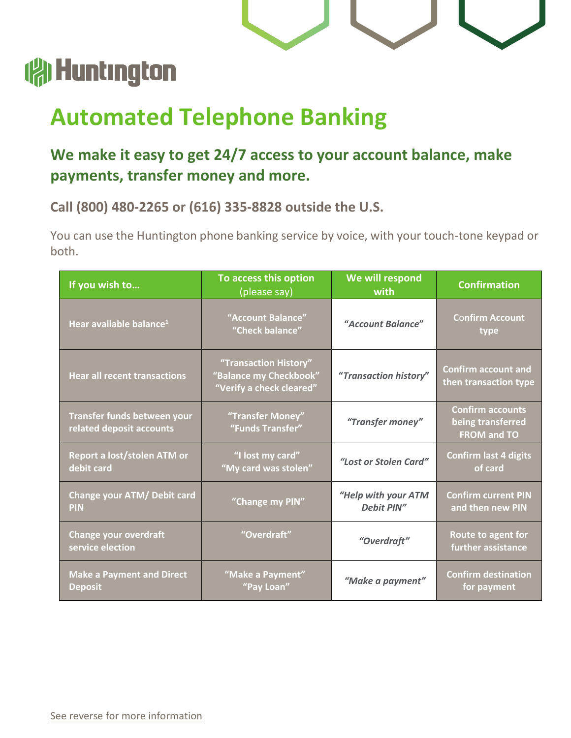## (a) Huntington

## **Automated Telephone Banking**

## **We make it easy to get 24/7 access to your account balance, make payments, transfer money and more.**

**Call (800) 480-2265 or (616) 335-8828 outside the U.S.**

You can use the Huntington phone banking service by voice, with your touch-tone keypad or both.

| If you wish to                                          | To access this option<br>(please say)                                       | We will respond<br>with           | <b>Confirmation</b>                                                |
|---------------------------------------------------------|-----------------------------------------------------------------------------|-----------------------------------|--------------------------------------------------------------------|
| Hear available balance <sup>1</sup>                     | "Account Balance"<br>"Check balance"                                        | "Account Balance"                 | <b>Confirm Account</b><br>type                                     |
| <b>Hear all recent transactions</b>                     | "Transaction History"<br>"Balance my Checkbook"<br>"Verify a check cleared" | "Transaction history"             | <b>Confirm account and</b><br>then transaction type                |
| Transfer funds between your<br>related deposit accounts | "Transfer Money"<br>"Funds Transfer"                                        | "Transfer money"                  | <b>Confirm accounts</b><br>being transferred<br><b>FROM and TO</b> |
| Report a lost/stolen ATM or<br>debit card               | "I lost my card"<br>"My card was stolen"                                    | "Lost or Stolen Card"             | <b>Confirm last 4 digits</b><br>of card                            |
| Change your ATM/ Debit card<br><b>PIN</b>               | "Change my PIN"                                                             | "Help with your ATM<br>Debit PIN" | <b>Confirm current PIN</b><br>and then new PIN                     |
| <b>Change your overdraft</b><br>service election        | "Overdraft"                                                                 | "Overdraft"                       | Route to agent for<br>further assistance                           |
| <b>Make a Payment and Direct</b><br><b>Deposit</b>      | "Make a Payment"<br>"Pay Loan"                                              | "Make a payment"                  | <b>Confirm destination</b><br>for payment                          |